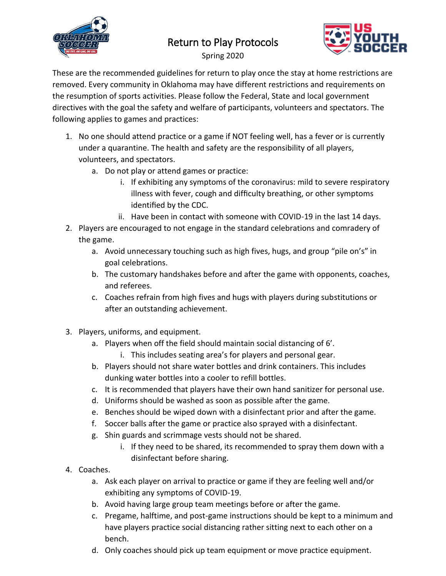

## Return to Play Protocols



Spring 2020

These are the recommended guidelines for return to play once the stay at home restrictions are removed. Every community in Oklahoma may have different restrictions and requirements on the resumption of sports activities. Please follow the Federal, State and local government directives with the goal the safety and welfare of participants, volunteers and spectators. The following applies to games and practices:

- 1. No one should attend practice or a game if NOT feeling well, has a fever or is currently under a quarantine. The health and safety are the responsibility of all players, volunteers, and spectators.
	- a. Do not play or attend games or practice:
		- i. If exhibiting any symptoms of the coronavirus: mild to severe respiratory illness with fever, cough and difficulty breathing, or other symptoms identified by the CDC.
		- ii. Have been in contact with someone with COVID-19 in the last 14 days.
- 2. Players are encouraged to not engage in the standard celebrations and comradery of the game.
	- a. Avoid unnecessary touching such as high fives, hugs, and group "pile on's" in goal celebrations.
	- b. The customary handshakes before and after the game with opponents, coaches, and referees.
	- c. Coaches refrain from high fives and hugs with players during substitutions or after an outstanding achievement.
- 3. Players, uniforms, and equipment.
	- a. Players when off the field should maintain social distancing of 6'.
		- i. This includes seating area's for players and personal gear.
	- b. Players should not share water bottles and drink containers. This includes dunking water bottles into a cooler to refill bottles.
	- c. It is recommended that players have their own hand sanitizer for personal use.
	- d. Uniforms should be washed as soon as possible after the game.
	- e. Benches should be wiped down with a disinfectant prior and after the game.
	- f. Soccer balls after the game or practice also sprayed with a disinfectant.
	- g. Shin guards and scrimmage vests should not be shared.
		- i. If they need to be shared, its recommended to spray them down with a disinfectant before sharing.
- 4. Coaches.
	- a. Ask each player on arrival to practice or game if they are feeling well and/or exhibiting any symptoms of COVID-19.
	- b. Avoid having large group team meetings before or after the game.
	- c. Pregame, halftime, and post-game instructions should be kept to a minimum and have players practice social distancing rather sitting next to each other on a bench.
	- d. Only coaches should pick up team equipment or move practice equipment.